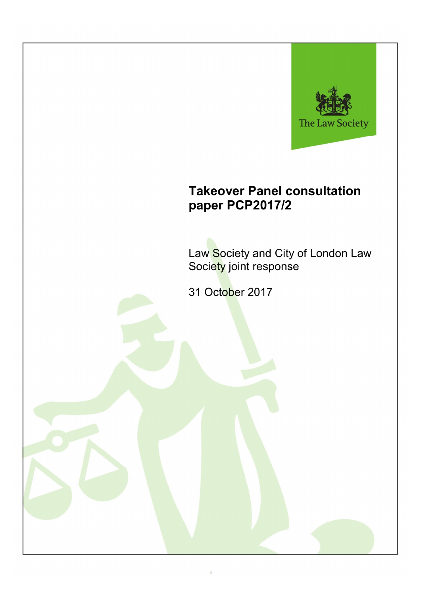

# **Takeover Panel consultation paper PCP2017/2**

Law Society and City of London Law Society joint response

31 October 2017

1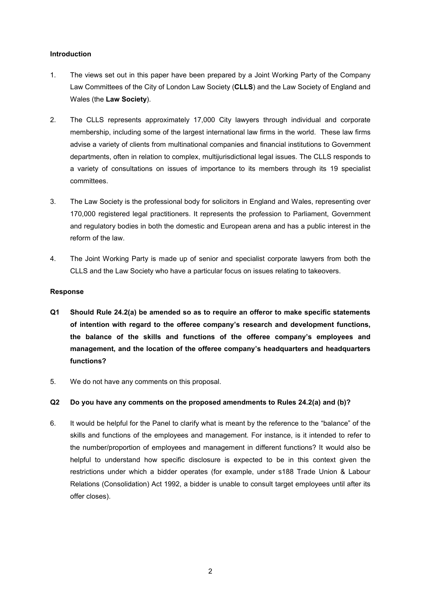## **Introduction**

- 1. The views set out in this paper have been prepared by a Joint Working Party of the Company Law Committees of the City of London Law Society (**CLLS**) and the Law Society of England and Wales (the **Law Society**).
- 2. The CLLS represents approximately 17,000 City lawyers through individual and corporate membership, including some of the largest international law firms in the world. These law firms advise a variety of clients from multinational companies and financial institutions to Government departments, often in relation to complex, multijurisdictional legal issues. The CLLS responds to a variety of consultations on issues of importance to its members through its 19 specialist committees.
- 3. The Law Society is the professional body for solicitors in England and Wales, representing over 170,000 registered legal practitioners. It represents the profession to Parliament, Government and regulatory bodies in both the domestic and European arena and has a public interest in the reform of the law.
- 4. The Joint Working Party is made up of senior and specialist corporate lawyers from both the CLLS and the Law Society who have a particular focus on issues relating to takeovers.

## **Response**

- **Q1 Should Rule 24.2(a) be amended so as to require an offeror to make specific statements of intention with regard to the offeree company's research and development functions, the balance of the skills and functions of the offeree company's employees and management, and the location of the offeree company's headquarters and headquarters functions?**
- 5. We do not have any comments on this proposal.

# **Q2 Do you have any comments on the proposed amendments to Rules 24.2(a) and (b)?**

6. It would be helpful for the Panel to clarify what is meant by the reference to the "balance" of the skills and functions of the employees and management. For instance, is it intended to refer to the number/proportion of employees and management in different functions? It would also be helpful to understand how specific disclosure is expected to be in this context given the restrictions under which a bidder operates (for example, under s188 Trade Union & Labour Relations (Consolidation) Act 1992, a bidder is unable to consult target employees until after its offer closes).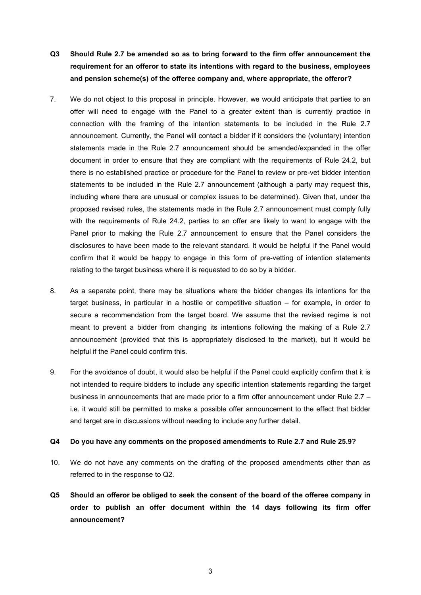- **Q3 Should Rule 2.7 be amended so as to bring forward to the firm offer announcement the requirement for an offeror to state its intentions with regard to the business, employees and pension scheme(s) of the offeree company and, where appropriate, the offeror?**
- 7. We do not object to this proposal in principle. However, we would anticipate that parties to an offer will need to engage with the Panel to a greater extent than is currently practice in connection with the framing of the intention statements to be included in the Rule 2.7 announcement. Currently, the Panel will contact a bidder if it considers the (voluntary) intention statements made in the Rule 2.7 announcement should be amended/expanded in the offer document in order to ensure that they are compliant with the requirements of Rule 24.2, but there is no established practice or procedure for the Panel to review or pre-vet bidder intention statements to be included in the Rule 2.7 announcement (although a party may request this, including where there are unusual or complex issues to be determined). Given that, under the proposed revised rules, the statements made in the Rule 2.7 announcement must comply fully with the requirements of Rule 24.2, parties to an offer are likely to want to engage with the Panel prior to making the Rule 2.7 announcement to ensure that the Panel considers the disclosures to have been made to the relevant standard. It would be helpful if the Panel would confirm that it would be happy to engage in this form of pre-vetting of intention statements relating to the target business where it is requested to do so by a bidder.
- 8. As a separate point, there may be situations where the bidder changes its intentions for the target business, in particular in a hostile or competitive situation – for example, in order to secure a recommendation from the target board. We assume that the revised regime is not meant to prevent a bidder from changing its intentions following the making of a Rule 2.7 announcement (provided that this is appropriately disclosed to the market), but it would be helpful if the Panel could confirm this.
- 9. For the avoidance of doubt, it would also be helpful if the Panel could explicitly confirm that it is not intended to require bidders to include any specific intention statements regarding the target business in announcements that are made prior to a firm offer announcement under Rule 2.7 – i.e. it would still be permitted to make a possible offer announcement to the effect that bidder and target are in discussions without needing to include any further detail.

#### **Q4 Do you have any comments on the proposed amendments to Rule 2.7 and Rule 25.9?**

- 10. We do not have any comments on the drafting of the proposed amendments other than as referred to in the response to Q2.
- **Q5 Should an offeror be obliged to seek the consent of the board of the offeree company in order to publish an offer document within the 14 days following its firm offer announcement?**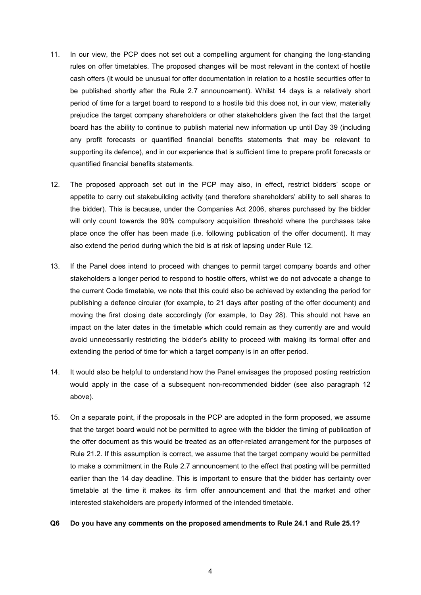- 11. In our view, the PCP does not set out a compelling argument for changing the long-standing rules on offer timetables. The proposed changes will be most relevant in the context of hostile cash offers (it would be unusual for offer documentation in relation to a hostile securities offer to be published shortly after the Rule 2.7 announcement). Whilst 14 days is a relatively short period of time for a target board to respond to a hostile bid this does not, in our view, materially prejudice the target company shareholders or other stakeholders given the fact that the target board has the ability to continue to publish material new information up until Day 39 (including any profit forecasts or quantified financial benefits statements that may be relevant to supporting its defence), and in our experience that is sufficient time to prepare profit forecasts or quantified financial benefits statements.
- 12. The proposed approach set out in the PCP may also, in effect, restrict bidders' scope or appetite to carry out stakebuilding activity (and therefore shareholders' ability to sell shares to the bidder). This is because, under the Companies Act 2006, shares purchased by the bidder will only count towards the 90% compulsory acquisition threshold where the purchases take place once the offer has been made (i.e. following publication of the offer document). It may also extend the period during which the bid is at risk of lapsing under Rule 12.
- 13. If the Panel does intend to proceed with changes to permit target company boards and other stakeholders a longer period to respond to hostile offers, whilst we do not advocate a change to the current Code timetable, we note that this could also be achieved by extending the period for publishing a defence circular (for example, to 21 days after posting of the offer document) and moving the first closing date accordingly (for example, to Day 28). This should not have an impact on the later dates in the timetable which could remain as they currently are and would avoid unnecessarily restricting the bidder's ability to proceed with making its formal offer and extending the period of time for which a target company is in an offer period.
- 14. It would also be helpful to understand how the Panel envisages the proposed posting restriction would apply in the case of a subsequent non-recommended bidder (see also paragraph 12 above).
- 15. On a separate point, if the proposals in the PCP are adopted in the form proposed, we assume that the target board would not be permitted to agree with the bidder the timing of publication of the offer document as this would be treated as an offer-related arrangement for the purposes of Rule 21.2. If this assumption is correct, we assume that the target company would be permitted to make a commitment in the Rule 2.7 announcement to the effect that posting will be permitted earlier than the 14 day deadline. This is important to ensure that the bidder has certainty over timetable at the time it makes its firm offer announcement and that the market and other interested stakeholders are properly informed of the intended timetable.

#### **Q6 Do you have any comments on the proposed amendments to Rule 24.1 and Rule 25.1?**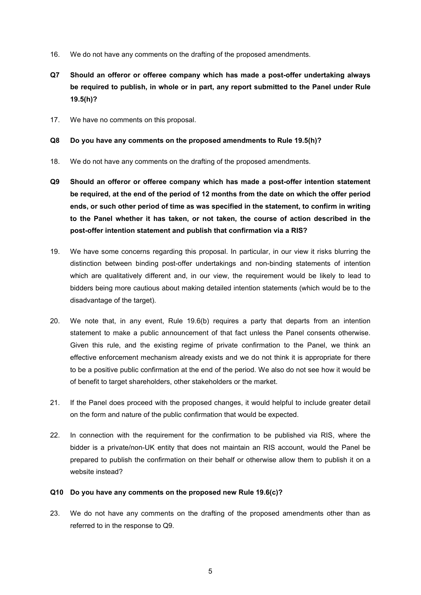- 16. We do not have any comments on the drafting of the proposed amendments.
- **Q7 Should an offeror or offeree company which has made a post-offer undertaking always be required to publish, in whole or in part, any report submitted to the Panel under Rule 19.5(h)?**
- 17. We have no comments on this proposal.
- **Q8 Do you have any comments on the proposed amendments to Rule 19.5(h)?**
- 18. We do not have any comments on the drafting of the proposed amendments.
- **Q9 Should an offeror or offeree company which has made a post-offer intention statement be required, at the end of the period of 12 months from the date on which the offer period ends, or such other period of time as was specified in the statement, to confirm in writing to the Panel whether it has taken, or not taken, the course of action described in the post-offer intention statement and publish that confirmation via a RIS?**
- 19. We have some concerns regarding this proposal. In particular, in our view it risks blurring the distinction between binding post-offer undertakings and non-binding statements of intention which are qualitatively different and, in our view, the requirement would be likely to lead to bidders being more cautious about making detailed intention statements (which would be to the disadvantage of the target).
- 20. We note that, in any event, Rule 19.6(b) requires a party that departs from an intention statement to make a public announcement of that fact unless the Panel consents otherwise. Given this rule, and the existing regime of private confirmation to the Panel, we think an effective enforcement mechanism already exists and we do not think it is appropriate for there to be a positive public confirmation at the end of the period. We also do not see how it would be of benefit to target shareholders, other stakeholders or the market.
- 21. If the Panel does proceed with the proposed changes, it would helpful to include greater detail on the form and nature of the public confirmation that would be expected.
- 22. In connection with the requirement for the confirmation to be published via RIS, where the bidder is a private/non-UK entity that does not maintain an RIS account, would the Panel be prepared to publish the confirmation on their behalf or otherwise allow them to publish it on a website instead?

## **Q10 Do you have any comments on the proposed new Rule 19.6(c)?**

23. We do not have any comments on the drafting of the proposed amendments other than as referred to in the response to Q9.